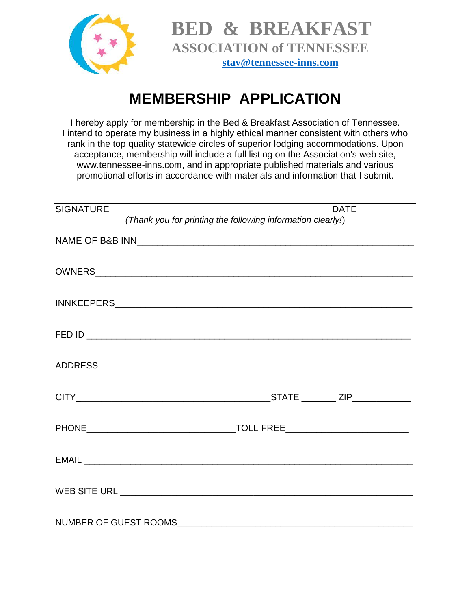

## **MEMBERSHIP APPLICATION**

I hereby apply for membership in the Bed & Breakfast Association of Tennessee. I intend to operate my business in a highly ethical manner consistent with others who rank in the top quality statewide circles of superior lodging accommodations. Upon acceptance, membership will include a full listing on the Association's web site, www.tennessee-inns.com, and in appropriate published materials and various promotional efforts in accordance with materials and information that I submit.

| <b>SIGNATURE</b> | <b>DATE</b>                                                 |  |  |
|------------------|-------------------------------------------------------------|--|--|
|                  | (Thank you for printing the following information clearly!) |  |  |
|                  |                                                             |  |  |
|                  |                                                             |  |  |
|                  |                                                             |  |  |
|                  |                                                             |  |  |
|                  |                                                             |  |  |
|                  |                                                             |  |  |
|                  |                                                             |  |  |
|                  |                                                             |  |  |
|                  |                                                             |  |  |
|                  |                                                             |  |  |
|                  |                                                             |  |  |
|                  |                                                             |  |  |
|                  |                                                             |  |  |
|                  |                                                             |  |  |
|                  |                                                             |  |  |
|                  |                                                             |  |  |